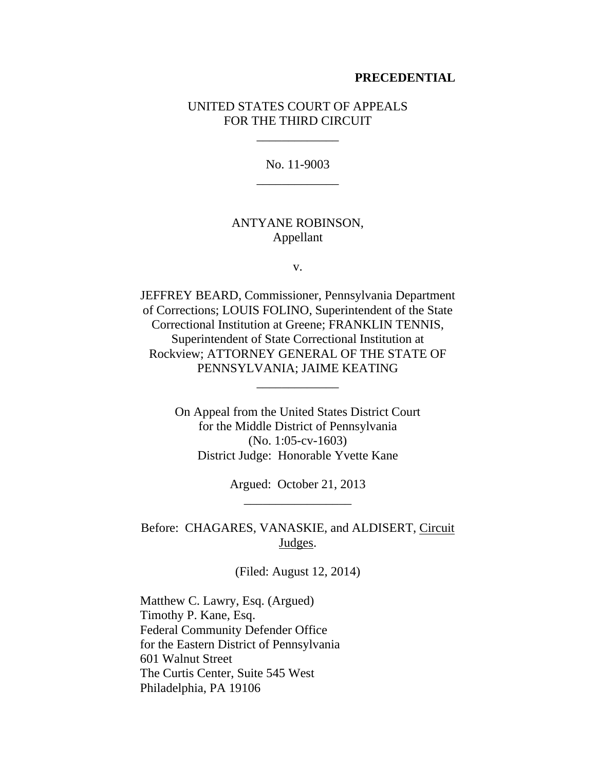#### **PRECEDENTIAL**

### UNITED STATES COURT OF APPEALS FOR THE THIRD CIRCUIT

\_\_\_\_\_\_\_\_\_\_\_\_\_

No. 11-9003 \_\_\_\_\_\_\_\_\_\_\_\_\_

### ANTYANE ROBINSON, Appellant

v.

JEFFREY BEARD, Commissioner, Pennsylvania Department of Corrections; LOUIS FOLINO, Superintendent of the State Correctional Institution at Greene; FRANKLIN TENNIS, Superintendent of State Correctional Institution at Rockview; ATTORNEY GENERAL OF THE STATE OF PENNSYLVANIA; JAIME KEATING

\_\_\_\_\_\_\_\_\_\_\_\_\_

On Appeal from the United States District Court for the Middle District of Pennsylvania (No. 1:05-cv-1603) District Judge: Honorable Yvette Kane

> Argued: October 21, 2013 \_\_\_\_\_\_\_\_\_\_\_\_\_\_\_\_\_

Before: CHAGARES, VANASKIE, and ALDISERT, Circuit Judges.

(Filed: August 12, 2014)

Matthew C. Lawry, Esq. (Argued) Timothy P. Kane, Esq. Federal Community Defender Office for the Eastern District of Pennsylvania 601 Walnut Street The Curtis Center, Suite 545 West Philadelphia, PA 19106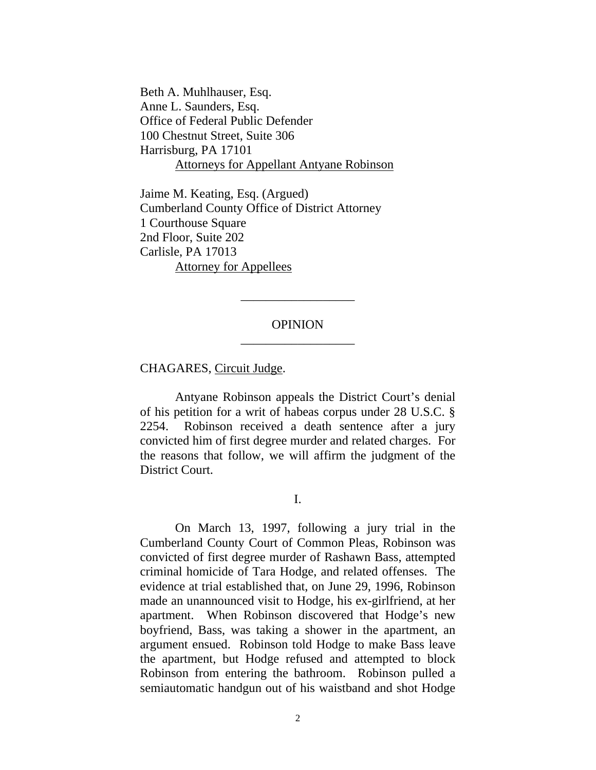Beth A. Muhlhauser, Esq. Anne L. Saunders, Esq. Office of Federal Public Defender 100 Chestnut Street, Suite 306 Harrisburg, PA 17101 Attorneys for Appellant Antyane Robinson

Jaime M. Keating, Esq. (Argued) Cumberland County Office of District Attorney 1 Courthouse Square 2nd Floor, Suite 202 Carlisle, PA 17013 Attorney for Appellees

# OPINION \_\_\_\_\_\_\_\_\_\_\_\_\_\_\_\_\_\_

\_\_\_\_\_\_\_\_\_\_\_\_\_\_\_\_\_\_

CHAGARES, Circuit Judge.

 Antyane Robinson appeals the District Court's denial of his petition for a writ of habeas corpus under 28 U.S.C. § 2254. Robinson received a death sentence after a jury convicted him of first degree murder and related charges. For the reasons that follow, we will affirm the judgment of the District Court.

I.

 On March 13, 1997, following a jury trial in the Cumberland County Court of Common Pleas, Robinson was convicted of first degree murder of Rashawn Bass, attempted criminal homicide of Tara Hodge, and related offenses. The evidence at trial established that, on June 29, 1996, Robinson made an unannounced visit to Hodge, his ex-girlfriend, at her apartment. When Robinson discovered that Hodge's new boyfriend, Bass, was taking a shower in the apartment, an argument ensued. Robinson told Hodge to make Bass leave the apartment, but Hodge refused and attempted to block Robinson from entering the bathroom. Robinson pulled a semiautomatic handgun out of his waistband and shot Hodge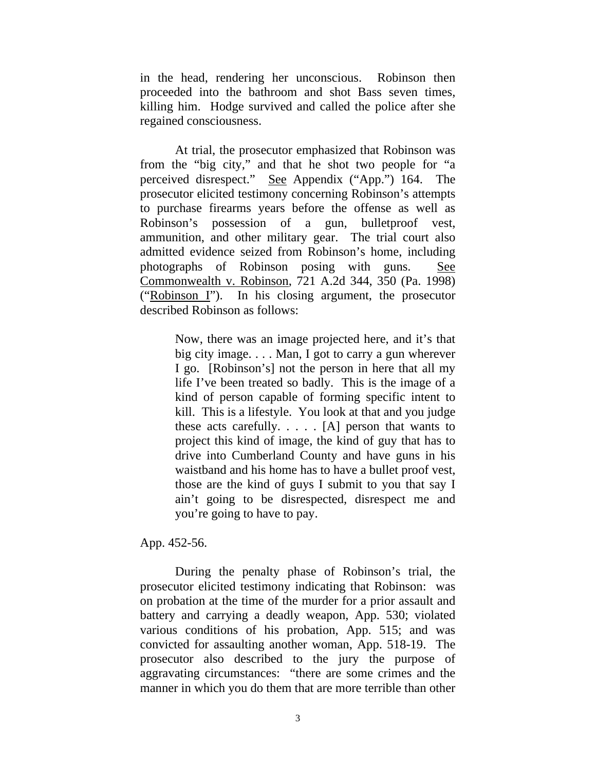in the head, rendering her unconscious. Robinson then proceeded into the bathroom and shot Bass seven times, killing him. Hodge survived and called the police after she regained consciousness.

 At trial, the prosecutor emphasized that Robinson was from the "big city," and that he shot two people for "a perceived disrespect." See Appendix ("App.") 164. The prosecutor elicited testimony concerning Robinson's attempts to purchase firearms years before the offense as well as Robinson's possession of a gun, bulletproof vest, ammunition, and other military gear. The trial court also admitted evidence seized from Robinson's home, including photographs of Robinson posing with guns. See Commonwealth v. Robinson, 721 A.2d 344, 350 (Pa. 1998) ("Robinson I"). In his closing argument, the prosecutor described Robinson as follows:

> Now, there was an image projected here, and it's that big city image. . . . Man, I got to carry a gun wherever I go. [Robinson's] not the person in here that all my life I've been treated so badly. This is the image of a kind of person capable of forming specific intent to kill. This is a lifestyle. You look at that and you judge these acts carefully. . . . . [A] person that wants to project this kind of image, the kind of guy that has to drive into Cumberland County and have guns in his waistband and his home has to have a bullet proof vest, those are the kind of guys I submit to you that say I ain't going to be disrespected, disrespect me and you're going to have to pay.

App. 452-56.

 During the penalty phase of Robinson's trial, the prosecutor elicited testimony indicating that Robinson: was on probation at the time of the murder for a prior assault and battery and carrying a deadly weapon, App. 530; violated various conditions of his probation, App. 515; and was convicted for assaulting another woman, App. 518-19. The prosecutor also described to the jury the purpose of aggravating circumstances: "there are some crimes and the manner in which you do them that are more terrible than other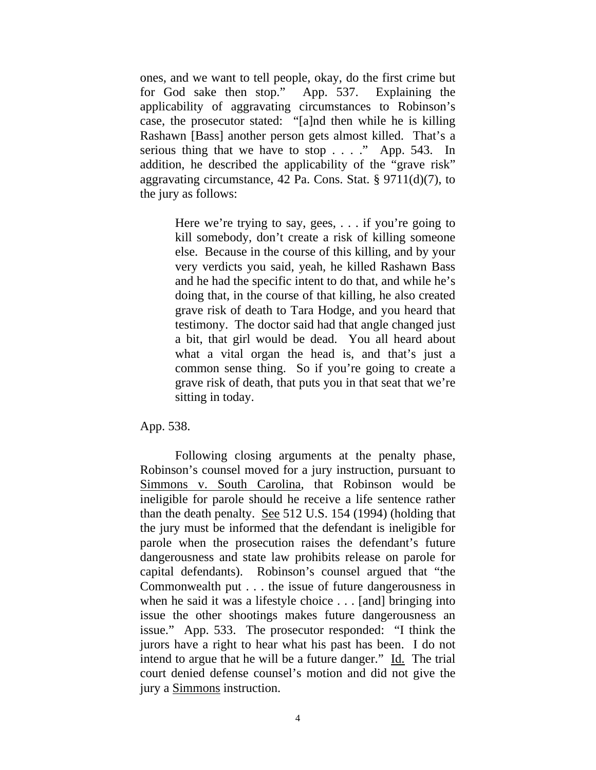ones, and we want to tell people, okay, do the first crime but for God sake then stop." App. 537. Explaining the applicability of aggravating circumstances to Robinson's case, the prosecutor stated: "[a]nd then while he is killing Rashawn [Bass] another person gets almost killed. That's a serious thing that we have to stop . . . ." App. 543. In addition, he described the applicability of the "grave risk" aggravating circumstance, 42 Pa. Cons. Stat. § 9711(d)(7), to the jury as follows:

> Here we're trying to say, gees, . . . if you're going to kill somebody, don't create a risk of killing someone else. Because in the course of this killing, and by your very verdicts you said, yeah, he killed Rashawn Bass and he had the specific intent to do that, and while he's doing that, in the course of that killing, he also created grave risk of death to Tara Hodge, and you heard that testimony. The doctor said had that angle changed just a bit, that girl would be dead. You all heard about what a vital organ the head is, and that's just a common sense thing. So if you're going to create a grave risk of death, that puts you in that seat that we're sitting in today.

App. 538.

 Following closing arguments at the penalty phase, Robinson's counsel moved for a jury instruction, pursuant to Simmons v. South Carolina, that Robinson would be ineligible for parole should he receive a life sentence rather than the death penalty. See 512 U.S. 154 (1994) (holding that the jury must be informed that the defendant is ineligible for parole when the prosecution raises the defendant's future dangerousness and state law prohibits release on parole for capital defendants). Robinson's counsel argued that "the Commonwealth put . . . the issue of future dangerousness in when he said it was a lifestyle choice . . . [and] bringing into issue the other shootings makes future dangerousness an issue." App. 533. The prosecutor responded: "I think the jurors have a right to hear what his past has been. I do not intend to argue that he will be a future danger." Id. The trial court denied defense counsel's motion and did not give the jury a Simmons instruction.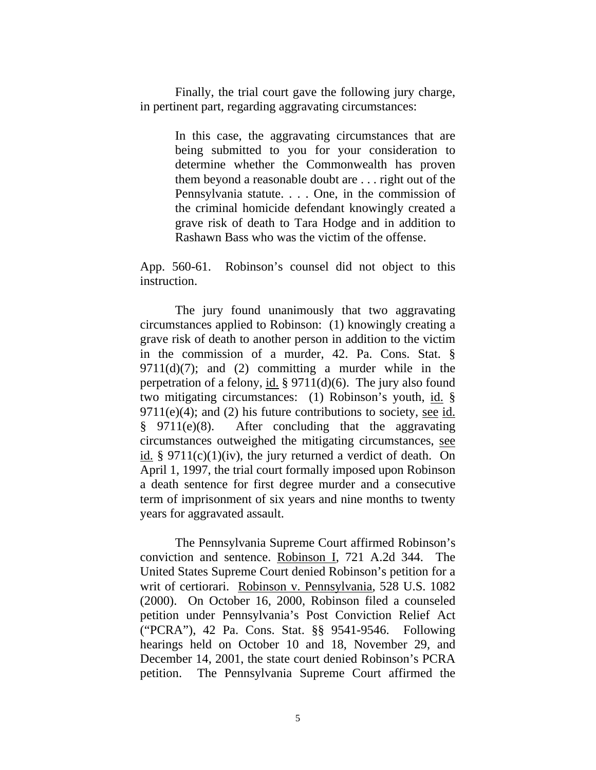Finally, the trial court gave the following jury charge, in pertinent part, regarding aggravating circumstances:

> In this case, the aggravating circumstances that are being submitted to you for your consideration to determine whether the Commonwealth has proven them beyond a reasonable doubt are . . . right out of the Pennsylvania statute. . . . One, in the commission of the criminal homicide defendant knowingly created a grave risk of death to Tara Hodge and in addition to Rashawn Bass who was the victim of the offense.

App. 560-61. Robinson's counsel did not object to this instruction.

 The jury found unanimously that two aggravating circumstances applied to Robinson: (1) knowingly creating a grave risk of death to another person in addition to the victim in the commission of a murder, 42. Pa. Cons. Stat. §  $9711(d)(7)$ ; and (2) committing a murder while in the perpetration of a felony, id.  $\S 9711(d)(6)$ . The jury also found two mitigating circumstances: (1) Robinson's youth, id. §  $9711(e)(4)$ ; and (2) his future contributions to society, see id. § 9711(e)(8). After concluding that the aggravating circumstances outweighed the mitigating circumstances, see id. §  $9711(c)(1)(iv)$ , the jury returned a verdict of death. On April 1, 1997, the trial court formally imposed upon Robinson a death sentence for first degree murder and a consecutive term of imprisonment of six years and nine months to twenty years for aggravated assault.

 The Pennsylvania Supreme Court affirmed Robinson's conviction and sentence. Robinson I, 721 A.2d 344. The United States Supreme Court denied Robinson's petition for a writ of certiorari. Robinson v. Pennsylvania, 528 U.S. 1082 (2000). On October 16, 2000, Robinson filed a counseled petition under Pennsylvania's Post Conviction Relief Act ("PCRA"), 42 Pa. Cons. Stat. §§ 9541-9546. Following hearings held on October 10 and 18, November 29, and December 14, 2001, the state court denied Robinson's PCRA petition. The Pennsylvania Supreme Court affirmed the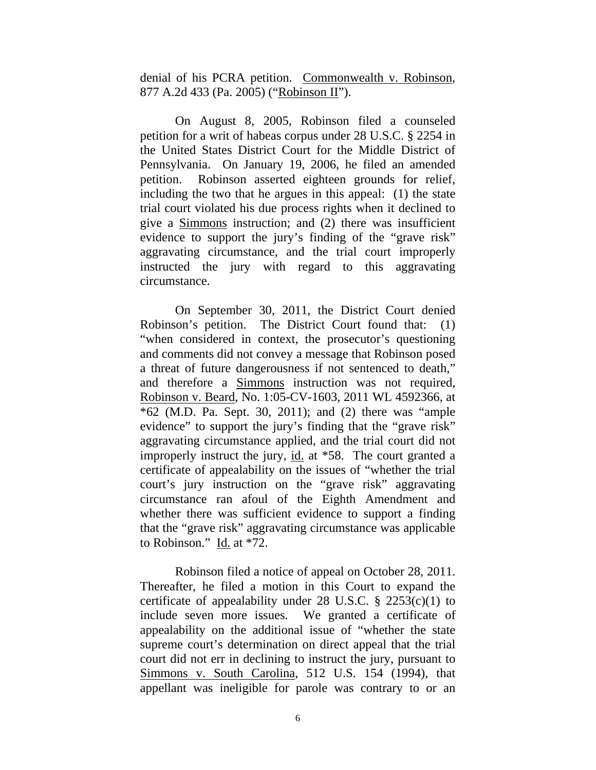denial of his PCRA petition. Commonwealth v. Robinson, 877 A.2d 433 (Pa. 2005) ("Robinson II").

 On August 8, 2005, Robinson filed a counseled petition for a writ of habeas corpus under 28 U.S.C. § 2254 in the United States District Court for the Middle District of Pennsylvania. On January 19, 2006, he filed an amended petition. Robinson asserted eighteen grounds for relief, including the two that he argues in this appeal: (1) the state trial court violated his due process rights when it declined to give a Simmons instruction; and (2) there was insufficient evidence to support the jury's finding of the "grave risk" aggravating circumstance, and the trial court improperly instructed the jury with regard to this aggravating circumstance.

 On September 30, 2011, the District Court denied Robinson's petition. The District Court found that: (1) "when considered in context, the prosecutor's questioning and comments did not convey a message that Robinson posed a threat of future dangerousness if not sentenced to death," and therefore a Simmons instruction was not required, Robinson v. Beard, No. 1:05-CV-1603, 2011 WL 4592366, at \*62 (M.D. Pa. Sept. 30, 2011); and (2) there was "ample evidence" to support the jury's finding that the "grave risk" aggravating circumstance applied, and the trial court did not improperly instruct the jury, id. at \*58. The court granted a certificate of appealability on the issues of "whether the trial court's jury instruction on the "grave risk" aggravating circumstance ran afoul of the Eighth Amendment and whether there was sufficient evidence to support a finding that the "grave risk" aggravating circumstance was applicable to Robinson." Id. at  $*72$ .

 Robinson filed a notice of appeal on October 28, 2011. Thereafter, he filed a motion in this Court to expand the certificate of appealability under 28 U.S.C.  $\S$  2253(c)(1) to include seven more issues. We granted a certificate of appealability on the additional issue of "whether the state supreme court's determination on direct appeal that the trial court did not err in declining to instruct the jury, pursuant to Simmons v. South Carolina, 512 U.S. 154 (1994), that appellant was ineligible for parole was contrary to or an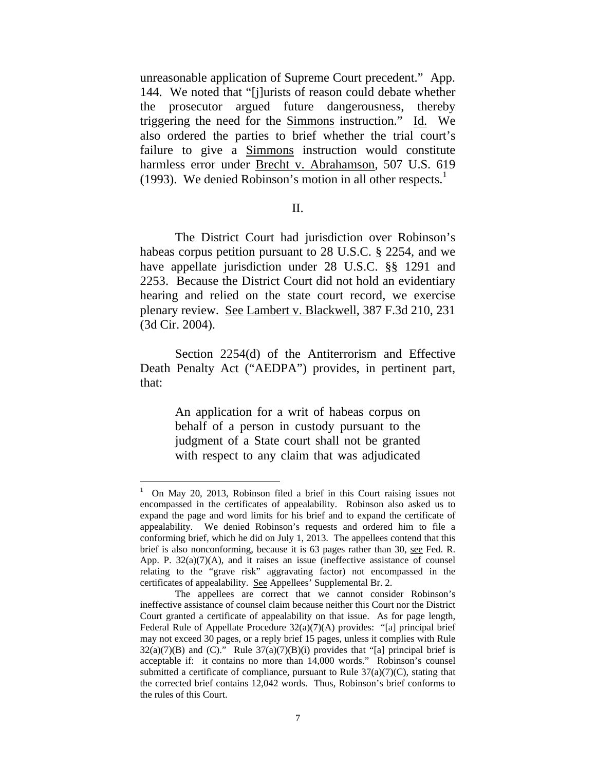unreasonable application of Supreme Court precedent." App. 144. We noted that "[j]urists of reason could debate whether the prosecutor argued future dangerousness, thereby triggering the need for the Simmons instruction." Id. We also ordered the parties to brief whether the trial court's failure to give a Simmons instruction would constitute harmless error under Brecht v. Abrahamson, 507 U.S. 619 (1993). We denied Robinson's motion in all other respects. $<sup>1</sup>$ </sup>

### II.

 The District Court had jurisdiction over Robinson's habeas corpus petition pursuant to 28 U.S.C. § 2254, and we have appellate jurisdiction under 28 U.S.C. §§ 1291 and 2253. Because the District Court did not hold an evidentiary hearing and relied on the state court record, we exercise plenary review. See Lambert v. Blackwell, 387 F.3d 210, 231 (3d Cir. 2004).

 Section 2254(d) of the Antiterrorism and Effective Death Penalty Act ("AEDPA") provides, in pertinent part, that:

> An application for a writ of habeas corpus on behalf of a person in custody pursuant to the judgment of a State court shall not be granted with respect to any claim that was adjudicated

<sup>1</sup> On May 20, 2013, Robinson filed a brief in this Court raising issues not encompassed in the certificates of appealability. Robinson also asked us to expand the page and word limits for his brief and to expand the certificate of appealability. We denied Robinson's requests and ordered him to file a conforming brief, which he did on July 1, 2013. The appellees contend that this brief is also nonconforming, because it is 63 pages rather than 30, see Fed. R. App. P.  $32(a)(7)(A)$ , and it raises an issue (ineffective assistance of counsel relating to the "grave risk" aggravating factor) not encompassed in the certificates of appealability. See Appellees' Supplemental Br. 2.

The appellees are correct that we cannot consider Robinson's ineffective assistance of counsel claim because neither this Court nor the District Court granted a certificate of appealability on that issue. As for page length, Federal Rule of Appellate Procedure 32(a)(7)(A) provides: "[a] principal brief may not exceed 30 pages, or a reply brief 15 pages, unless it complies with Rule  $32(a)(7)(B)$  and (C)." Rule  $37(a)(7)(B)(i)$  provides that "[a] principal brief is acceptable if: it contains no more than 14,000 words." Robinson's counsel submitted a certificate of compliance, pursuant to Rule  $37(a)(7)(C)$ , stating that the corrected brief contains 12,042 words. Thus, Robinson's brief conforms to the rules of this Court.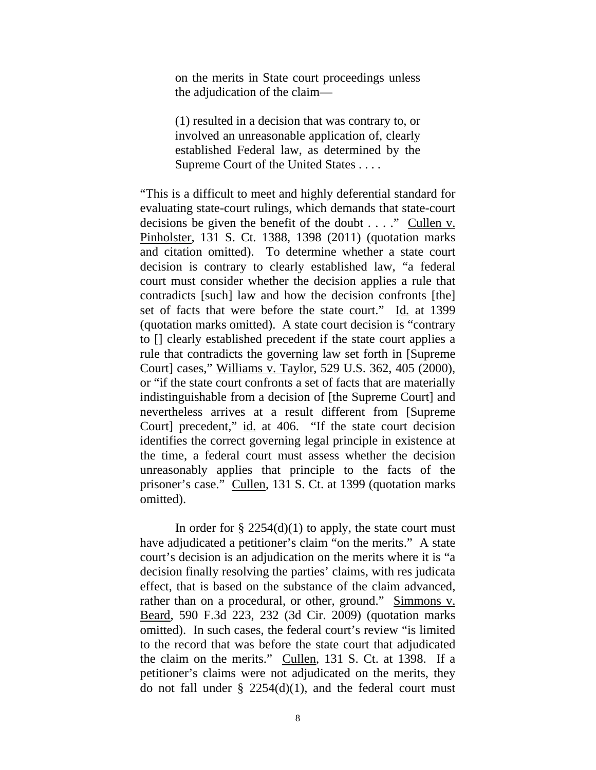on the merits in State court proceedings unless the adjudication of the claim—

(1) resulted in a decision that was contrary to, or involved an unreasonable application of, clearly established Federal law, as determined by the Supreme Court of the United States . . . .

"This is a difficult to meet and highly deferential standard for evaluating state-court rulings, which demands that state-court decisions be given the benefit of the doubt . . . ." Cullen v. Pinholster, 131 S. Ct. 1388, 1398 (2011) (quotation marks and citation omitted). To determine whether a state court decision is contrary to clearly established law, "a federal court must consider whether the decision applies a rule that contradicts [such] law and how the decision confronts [the] set of facts that were before the state court." Id*.* at 1399 (quotation marks omitted). A state court decision is "contrary to [] clearly established precedent if the state court applies a rule that contradicts the governing law set forth in [Supreme Court] cases," Williams v. Taylor, 529 U.S. 362, 405 (2000), or "if the state court confronts a set of facts that are materially indistinguishable from a decision of [the Supreme Court] and nevertheless arrives at a result different from [Supreme Court] precedent," id. at 406. "If the state court decision identifies the correct governing legal principle in existence at the time, a federal court must assess whether the decision unreasonably applies that principle to the facts of the prisoner's case." Cullen, 131 S. Ct. at 1399 (quotation marks omitted).

In order for  $\S 2254(d)(1)$  to apply, the state court must have adjudicated a petitioner's claim "on the merits." A state court's decision is an adjudication on the merits where it is "a decision finally resolving the parties' claims, with res judicata effect, that is based on the substance of the claim advanced, rather than on a procedural, or other, ground." Simmons v. Beard, 590 F.3d 223, 232 (3d Cir. 2009) (quotation marks omitted). In such cases, the federal court's review "is limited to the record that was before the state court that adjudicated the claim on the merits." Cullen, 131 S. Ct. at 1398. If a petitioner's claims were not adjudicated on the merits, they do not fall under  $\S$  2254(d)(1), and the federal court must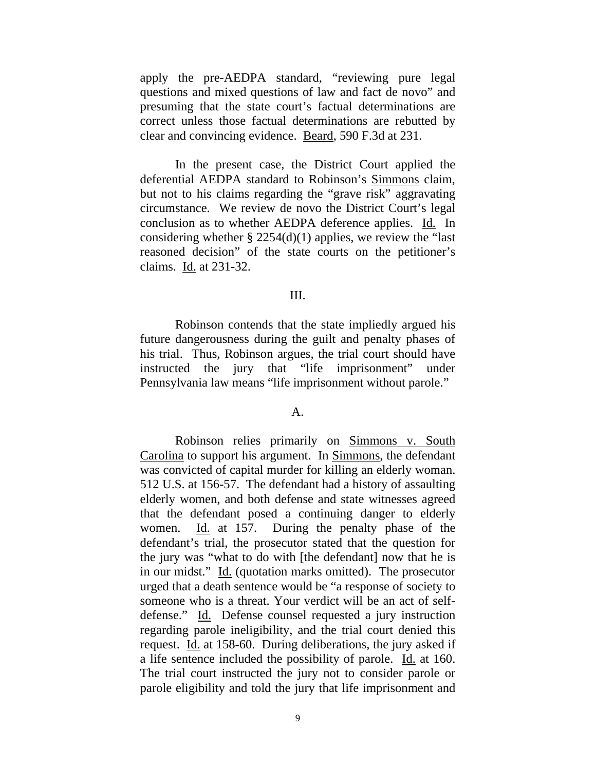apply the pre-AEDPA standard, "reviewing pure legal questions and mixed questions of law and fact de novo" and presuming that the state court's factual determinations are correct unless those factual determinations are rebutted by clear and convincing evidence. Beard, 590 F.3d at 231.

 In the present case, the District Court applied the deferential AEDPA standard to Robinson's Simmons claim, but not to his claims regarding the "grave risk" aggravating circumstance. We review de novo the District Court's legal conclusion as to whether AEDPA deference applies. Id*.* In considering whether  $\S 2254(d)(1)$  applies, we review the "last" reasoned decision" of the state courts on the petitioner's claims. Id. at 231-32.

### III.

 Robinson contends that the state impliedly argued his future dangerousness during the guilt and penalty phases of his trial. Thus, Robinson argues, the trial court should have instructed the jury that "life imprisonment" under Pennsylvania law means "life imprisonment without parole."

### A.

 Robinson relies primarily on Simmons v. South Carolina to support his argument. In Simmons, the defendant was convicted of capital murder for killing an elderly woman. 512 U.S. at 156-57. The defendant had a history of assaulting elderly women, and both defense and state witnesses agreed that the defendant posed a continuing danger to elderly women. Id. at 157. During the penalty phase of the defendant's trial, the prosecutor stated that the question for the jury was "what to do with [the defendant] now that he is in our midst." Id. (quotation marks omitted). The prosecutor urged that a death sentence would be "a response of society to someone who is a threat. Your verdict will be an act of selfdefense." Id. Defense counsel requested a jury instruction regarding parole ineligibility, and the trial court denied this request. Id. at 158-60. During deliberations, the jury asked if a life sentence included the possibility of parole. Id. at 160. The trial court instructed the jury not to consider parole or parole eligibility and told the jury that life imprisonment and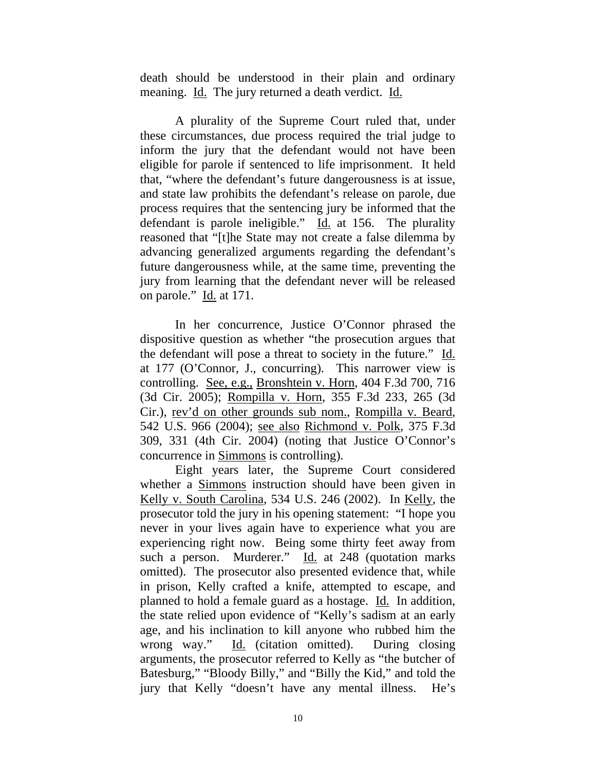death should be understood in their plain and ordinary meaning. Id. The jury returned a death verdict. Id.

 A plurality of the Supreme Court ruled that, under these circumstances, due process required the trial judge to inform the jury that the defendant would not have been eligible for parole if sentenced to life imprisonment. It held that, "where the defendant's future dangerousness is at issue, and state law prohibits the defendant's release on parole, due process requires that the sentencing jury be informed that the defendant is parole ineligible." Id. at 156. The plurality reasoned that "[t]he State may not create a false dilemma by advancing generalized arguments regarding the defendant's future dangerousness while, at the same time, preventing the jury from learning that the defendant never will be released on parole." Id. at 171.

 In her concurrence, Justice O'Connor phrased the dispositive question as whether "the prosecution argues that the defendant will pose a threat to society in the future." Id. at 177 (O'Connor, J., concurring). This narrower view is controlling. See, e.g., Bronshtein v. Horn, 404 F.3d 700, 716 (3d Cir. 2005); Rompilla v. Horn, 355 F.3d 233, 265 (3d Cir.), rev'd on other grounds sub nom., Rompilla v. Beard, 542 U.S. 966 (2004); see also Richmond v. Polk, 375 F.3d 309, 331 (4th Cir. 2004) (noting that Justice O'Connor's concurrence in Simmons is controlling).

 Eight years later, the Supreme Court considered whether a Simmons instruction should have been given in Kelly v. South Carolina, 534 U.S. 246 (2002). In Kelly, the prosecutor told the jury in his opening statement: "I hope you never in your lives again have to experience what you are experiencing right now. Being some thirty feet away from such a person. Murderer." Id. at 248 (quotation marks omitted). The prosecutor also presented evidence that, while in prison, Kelly crafted a knife, attempted to escape, and planned to hold a female guard as a hostage. Id. In addition, the state relied upon evidence of "Kelly's sadism at an early age, and his inclination to kill anyone who rubbed him the wrong way." Id. (citation omitted). During closing arguments, the prosecutor referred to Kelly as "the butcher of Batesburg," "Bloody Billy," and "Billy the Kid," and told the jury that Kelly "doesn't have any mental illness. He's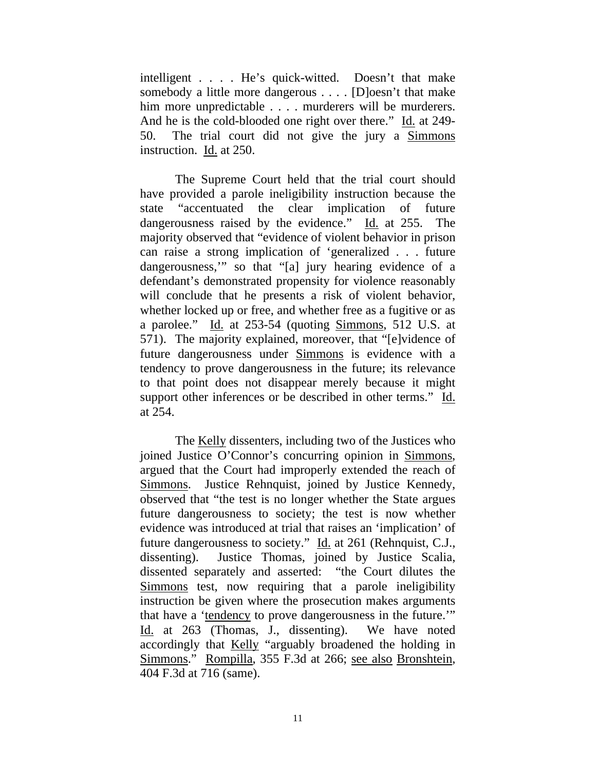intelligent . . . . He's quick-witted. Doesn't that make somebody a little more dangerous . . . . [D]oesn't that make him more unpredictable . . . . murderers will be murderers. And he is the cold-blooded one right over there." Id. at 249-50. The trial court did not give the jury a Simmons instruction. Id. at 250.

 The Supreme Court held that the trial court should have provided a parole ineligibility instruction because the state "accentuated the clear implication of future dangerousness raised by the evidence." Id. at 255. The majority observed that "evidence of violent behavior in prison can raise a strong implication of 'generalized . . . future dangerousness,'" so that "[a] jury hearing evidence of a defendant's demonstrated propensity for violence reasonably will conclude that he presents a risk of violent behavior, whether locked up or free, and whether free as a fugitive or as a parolee." Id. at 253-54 (quoting Simmons, 512 U.S. at 571). The majority explained, moreover, that "[e]vidence of future dangerousness under Simmons is evidence with a tendency to prove dangerousness in the future; its relevance to that point does not disappear merely because it might support other inferences or be described in other terms." Id. at 254.

 The Kelly dissenters, including two of the Justices who joined Justice O'Connor's concurring opinion in Simmons, argued that the Court had improperly extended the reach of Simmons. Justice Rehnquist, joined by Justice Kennedy, observed that "the test is no longer whether the State argues future dangerousness to society; the test is now whether evidence was introduced at trial that raises an 'implication' of future dangerousness to society." Id. at 261 (Rehnquist, C.J., dissenting). Justice Thomas, joined by Justice Scalia, dissented separately and asserted: "the Court dilutes the Simmons test, now requiring that a parole ineligibility instruction be given where the prosecution makes arguments that have a 'tendency to prove dangerousness in the future.'" Id. at 263 (Thomas, J., dissenting). We have noted accordingly that Kelly "arguably broadened the holding in Simmons." Rompilla, 355 F.3d at 266; see also Bronshtein, 404 F.3d at 716 (same).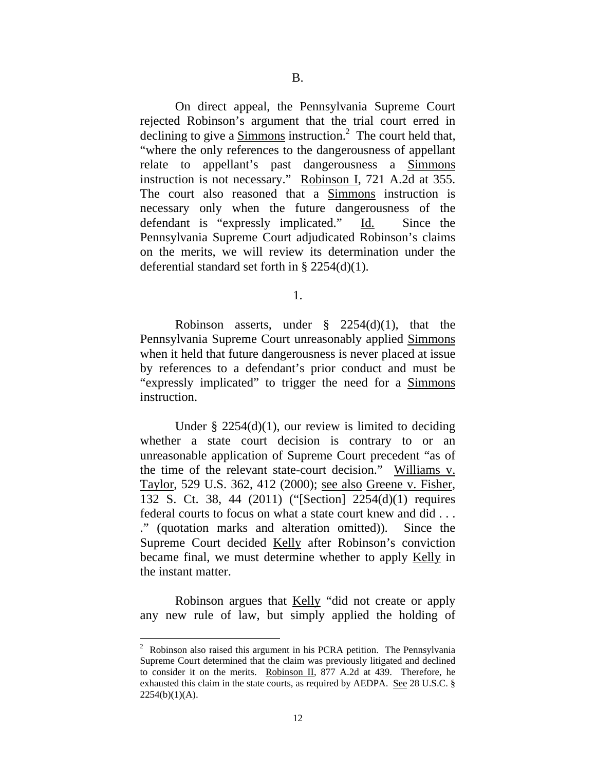On direct appeal, the Pennsylvania Supreme Court rejected Robinson's argument that the trial court erred in declining to give a  $Simmons$  instruction.<sup>2</sup> The court held that,</u> "where the only references to the dangerousness of appellant relate to appellant's past dangerousness a Simmons instruction is not necessary." Robinson I, 721 A.2d at 355. The court also reasoned that a Simmons instruction is necessary only when the future dangerousness of the defendant is "expressly implicated." Id. Since the Pennsylvania Supreme Court adjudicated Robinson's claims on the merits, we will review its determination under the deferential standard set forth in § 2254(d)(1).

1.

Robinson asserts, under  $\frac{8}{2254}$  (d)(1), that the Pennsylvania Supreme Court unreasonably applied Simmons when it held that future dangerousness is never placed at issue by references to a defendant's prior conduct and must be "expressly implicated" to trigger the need for a Simmons instruction.

Under  $\S$  2254(d)(1), our review is limited to deciding whether a state court decision is contrary to or an unreasonable application of Supreme Court precedent "as of the time of the relevant state-court decision." Williams v. Taylor, 529 U.S. 362, 412 (2000); see also Greene v. Fisher, 132 S. Ct. 38, 44 (2011) ("[Section] 2254(d)(1) requires federal courts to focus on what a state court knew and did . . . ." (quotation marks and alteration omitted)). Since the Supreme Court decided Kelly after Robinson's conviction became final, we must determine whether to apply Kelly in the instant matter.

 Robinson argues that Kelly "did not create or apply any new rule of law, but simply applied the holding of

 $\overline{a}$ 

 $2^2$  Robinson also raised this argument in his PCRA petition. The Pennsylvania Supreme Court determined that the claim was previously litigated and declined to consider it on the merits. Robinson II, 877 A.2d at 439. Therefore, he exhausted this claim in the state courts, as required by AEDPA. See 28 U.S.C. §  $2254(b)(1)(A)$ .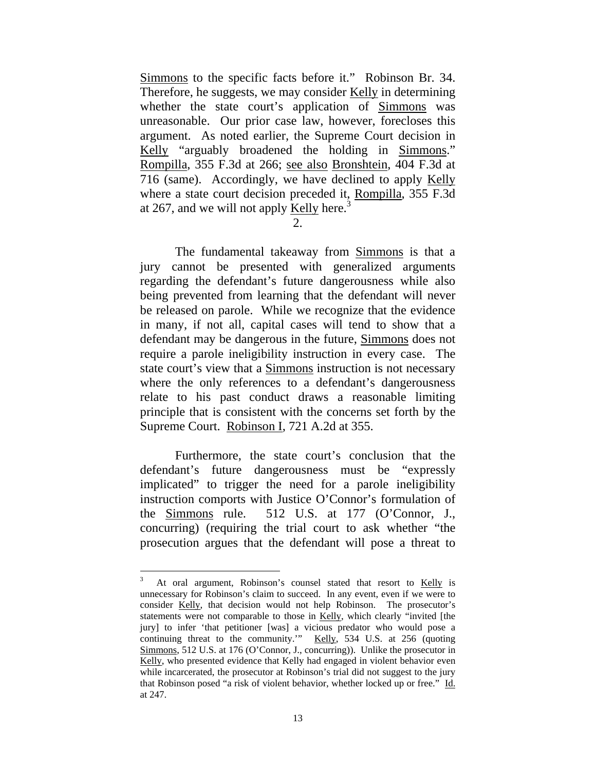Simmons to the specific facts before it." Robinson Br. 34. Therefore, he suggests, we may consider Kelly in determining whether the state court's application of Simmons was unreasonable. Our prior case law, however, forecloses this argument. As noted earlier, the Supreme Court decision in Kelly "arguably broadened the holding in Simmons." Rompilla, 355 F.3d at 266; see also Bronshtein, 404 F.3d at 716 (same). Accordingly, we have declined to apply Kelly where a state court decision preceded it, Rompilla, 355 F.3d at 267, and we will not apply Kelly here.<sup>3</sup>

 $2<sub>1</sub>$ 

 The fundamental takeaway from Simmons is that a jury cannot be presented with generalized arguments regarding the defendant's future dangerousness while also being prevented from learning that the defendant will never be released on parole. While we recognize that the evidence in many, if not all, capital cases will tend to show that a defendant may be dangerous in the future, Simmons does not require a parole ineligibility instruction in every case. The state court's view that a **Simmons** instruction is not necessary where the only references to a defendant's dangerousness relate to his past conduct draws a reasonable limiting principle that is consistent with the concerns set forth by the Supreme Court. Robinson I, 721 A.2d at 355.

 Furthermore, the state court's conclusion that the defendant's future dangerousness must be "expressly implicated" to trigger the need for a parole ineligibility instruction comports with Justice O'Connor's formulation of the Simmons rule. 512 U.S. at 177 (O'Connor, J., concurring) (requiring the trial court to ask whether "the prosecution argues that the defendant will pose a threat to

 $\overline{a}$ 

<sup>3</sup> At oral argument, Robinson's counsel stated that resort to Kelly is unnecessary for Robinson's claim to succeed. In any event, even if we were to consider Kelly, that decision would not help Robinson. The prosecutor's statements were not comparable to those in Kelly, which clearly "invited [the jury] to infer 'that petitioner [was] a vicious predator who would pose a continuing threat to the community.'" Kelly, 534 U.S. at 256 (quoting Simmons, 512 U.S. at 176 (O'Connor, J., concurring)). Unlike the prosecutor in Kelly, who presented evidence that Kelly had engaged in violent behavior even while incarcerated, the prosecutor at Robinson's trial did not suggest to the jury that Robinson posed "a risk of violent behavior, whether locked up or free." Id. at 247.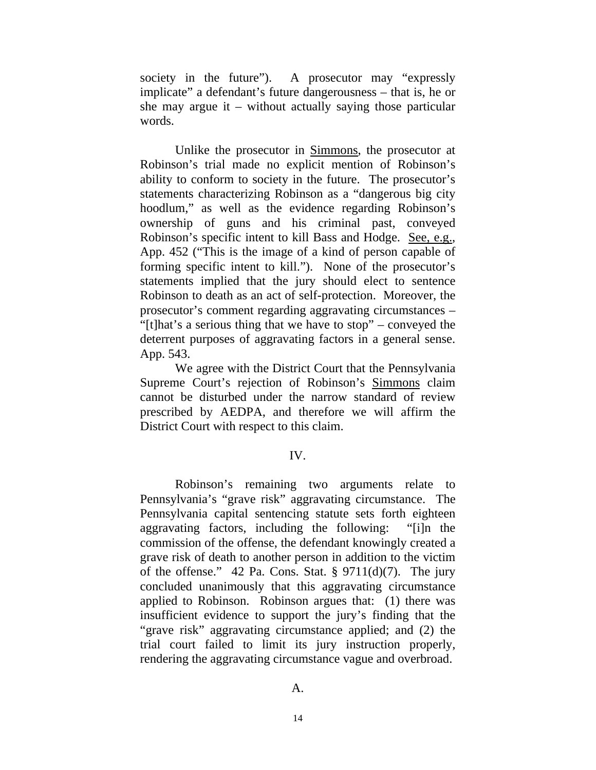society in the future"). A prosecutor may "expressly implicate" a defendant's future dangerousness – that is, he or she may argue it – without actually saying those particular words.

 Unlike the prosecutor in Simmons, the prosecutor at Robinson's trial made no explicit mention of Robinson's ability to conform to society in the future. The prosecutor's statements characterizing Robinson as a "dangerous big city hoodlum," as well as the evidence regarding Robinson's ownership of guns and his criminal past, conveyed Robinson's specific intent to kill Bass and Hodge. See, e.g., App. 452 ("This is the image of a kind of person capable of forming specific intent to kill."). None of the prosecutor's statements implied that the jury should elect to sentence Robinson to death as an act of self-protection. Moreover, the prosecutor's comment regarding aggravating circumstances – "[t]hat's a serious thing that we have to stop" – conveyed the deterrent purposes of aggravating factors in a general sense. App. 543.

 We agree with the District Court that the Pennsylvania Supreme Court's rejection of Robinson's Simmons claim cannot be disturbed under the narrow standard of review prescribed by AEDPA, and therefore we will affirm the District Court with respect to this claim.

### IV.

Robinson's remaining two arguments relate to Pennsylvania's "grave risk" aggravating circumstance. The Pennsylvania capital sentencing statute sets forth eighteen aggravating factors, including the following: "[i]n the commission of the offense, the defendant knowingly created a grave risk of death to another person in addition to the victim of the offense." 42 Pa. Cons. Stat.  $\S 9711(d)(7)$ . The jury concluded unanimously that this aggravating circumstance applied to Robinson. Robinson argues that: (1) there was insufficient evidence to support the jury's finding that the "grave risk" aggravating circumstance applied; and (2) the trial court failed to limit its jury instruction properly, rendering the aggravating circumstance vague and overbroad.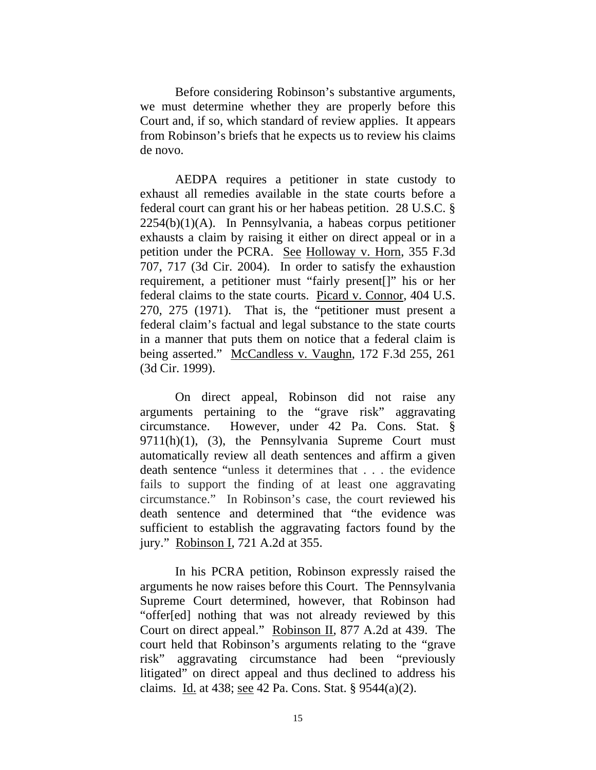Before considering Robinson's substantive arguments, we must determine whether they are properly before this Court and, if so, which standard of review applies. It appears from Robinson's briefs that he expects us to review his claims de novo.

AEDPA requires a petitioner in state custody to exhaust all remedies available in the state courts before a federal court can grant his or her habeas petition. 28 U.S.C. §  $2254(b)(1)(A)$ . In Pennsylvania, a habeas corpus petitioner exhausts a claim by raising it either on direct appeal or in a petition under the PCRA. See Holloway v. Horn, 355 F.3d 707, 717 (3d Cir. 2004). In order to satisfy the exhaustion requirement, a petitioner must "fairly present[]" his or her federal claims to the state courts. Picard v. Connor, 404 U.S. 270, 275 (1971). That is, the "petitioner must present a federal claim's factual and legal substance to the state courts in a manner that puts them on notice that a federal claim is being asserted." McCandless v. Vaughn, 172 F.3d 255, 261 (3d Cir. 1999).

On direct appeal, Robinson did not raise any arguments pertaining to the "grave risk" aggravating circumstance. However, under 42 Pa. Cons. Stat. §  $9711(h)(1)$ , (3), the Pennsylvania Supreme Court must automatically review all death sentences and affirm a given death sentence "unless it determines that . . . the evidence fails to support the finding of at least one aggravating circumstance." In Robinson's case, the court reviewed his death sentence and determined that "the evidence was sufficient to establish the aggravating factors found by the jury." Robinson I, 721 A.2d at 355.

In his PCRA petition, Robinson expressly raised the arguments he now raises before this Court. The Pennsylvania Supreme Court determined, however, that Robinson had "offer[ed] nothing that was not already reviewed by this Court on direct appeal." Robinson II, 877 A.2d at 439. The court held that Robinson's arguments relating to the "grave risk" aggravating circumstance had been "previously litigated" on direct appeal and thus declined to address his claims. Id. at 438; see 42 Pa. Cons. Stat. § 9544(a)(2).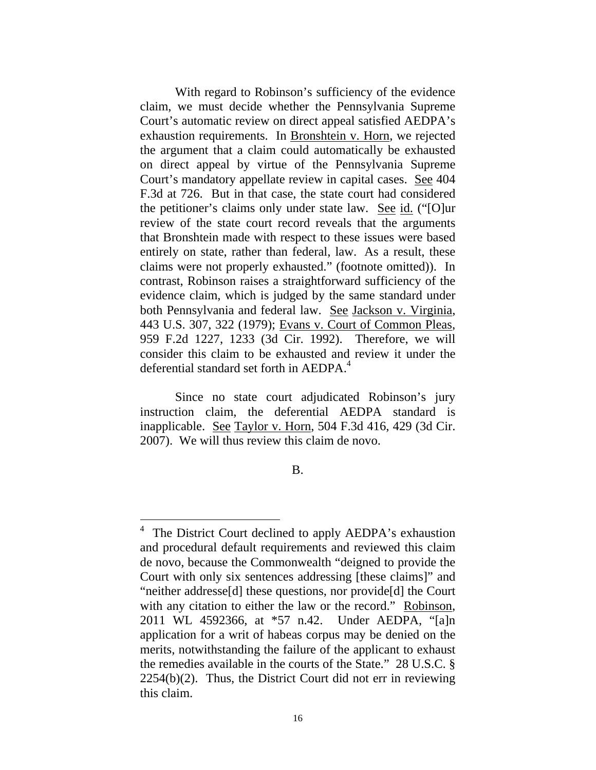With regard to Robinson's sufficiency of the evidence claim, we must decide whether the Pennsylvania Supreme Court's automatic review on direct appeal satisfied AEDPA's exhaustion requirements. In Bronshtein v. Horn, we rejected the argument that a claim could automatically be exhausted on direct appeal by virtue of the Pennsylvania Supreme Court's mandatory appellate review in capital cases. See 404 F.3d at 726. But in that case, the state court had considered the petitioner's claims only under state law. See id. ("[O]ur review of the state court record reveals that the arguments that Bronshtein made with respect to these issues were based entirely on state, rather than federal, law. As a result, these claims were not properly exhausted." (footnote omitted)). In contrast, Robinson raises a straightforward sufficiency of the evidence claim, which is judged by the same standard under both Pennsylvania and federal law. See Jackson v. Virginia, 443 U.S. 307, 322 (1979); Evans v. Court of Common Pleas, 959 F.2d 1227, 1233 (3d Cir. 1992). Therefore, we will consider this claim to be exhausted and review it under the deferential standard set forth in AEDPA.<sup>4</sup>

Since no state court adjudicated Robinson's jury instruction claim, the deferential AEDPA standard is inapplicable. See Taylor v. Horn, 504 F.3d 416, 429 (3d Cir. 2007). We will thus review this claim de novo.

B.

 $\overline{a}$ 

<sup>&</sup>lt;sup>4</sup> The District Court declined to apply AEDPA's exhaustion and procedural default requirements and reviewed this claim de novo, because the Commonwealth "deigned to provide the Court with only six sentences addressing [these claims]" and "neither addresse[d] these questions, nor provide[d] the Court with any citation to either the law or the record." Robinson, 2011 WL 4592366, at \*57 n.42. Under AEDPA, "[a]n application for a writ of habeas corpus may be denied on the merits, notwithstanding the failure of the applicant to exhaust the remedies available in the courts of the State." 28 U.S.C. §  $2254(b)(2)$ . Thus, the District Court did not err in reviewing this claim.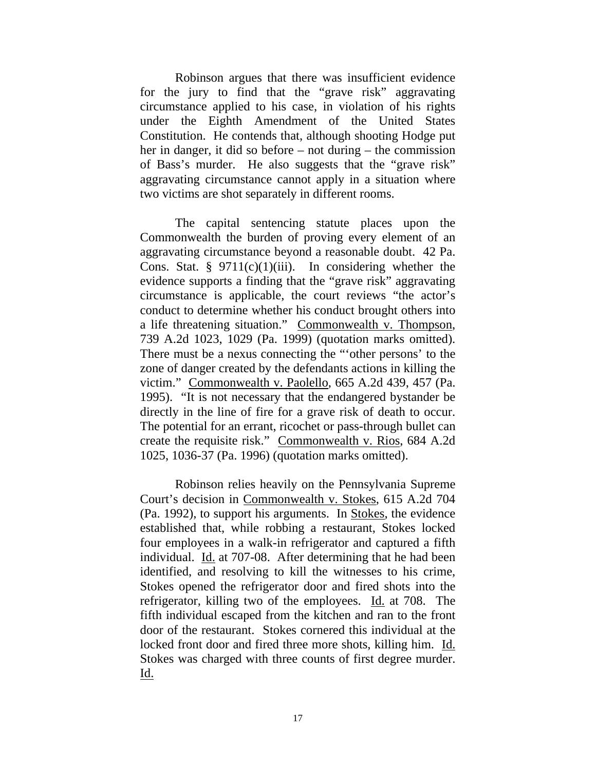Robinson argues that there was insufficient evidence for the jury to find that the "grave risk" aggravating circumstance applied to his case, in violation of his rights under the Eighth Amendment of the United States Constitution. He contends that, although shooting Hodge put her in danger, it did so before – not during – the commission of Bass's murder. He also suggests that the "grave risk" aggravating circumstance cannot apply in a situation where two victims are shot separately in different rooms.

The capital sentencing statute places upon the Commonwealth the burden of proving every element of an aggravating circumstance beyond a reasonable doubt. 42 Pa. Cons. Stat.  $\S$  9711(c)(1)(iii). In considering whether the evidence supports a finding that the "grave risk" aggravating circumstance is applicable, the court reviews "the actor's conduct to determine whether his conduct brought others into a life threatening situation." Commonwealth v. Thompson, 739 A.2d 1023, 1029 (Pa. 1999) (quotation marks omitted). There must be a nexus connecting the "'other persons' to the zone of danger created by the defendants actions in killing the victim." Commonwealth v. Paolello, 665 A.2d 439, 457 (Pa. 1995). "It is not necessary that the endangered bystander be directly in the line of fire for a grave risk of death to occur. The potential for an errant, ricochet or pass-through bullet can create the requisite risk." Commonwealth v. Rios, 684 A.2d 1025, 1036-37 (Pa. 1996) (quotation marks omitted).

 Robinson relies heavily on the Pennsylvania Supreme Court's decision in Commonwealth v. Stokes, 615 A.2d 704 (Pa. 1992), to support his arguments. In Stokes, the evidence established that, while robbing a restaurant, Stokes locked four employees in a walk-in refrigerator and captured a fifth individual. Id. at 707-08. After determining that he had been identified, and resolving to kill the witnesses to his crime, Stokes opened the refrigerator door and fired shots into the refrigerator, killing two of the employees. Id. at 708. The fifth individual escaped from the kitchen and ran to the front door of the restaurant. Stokes cornered this individual at the locked front door and fired three more shots, killing him. Id. Stokes was charged with three counts of first degree murder. Id.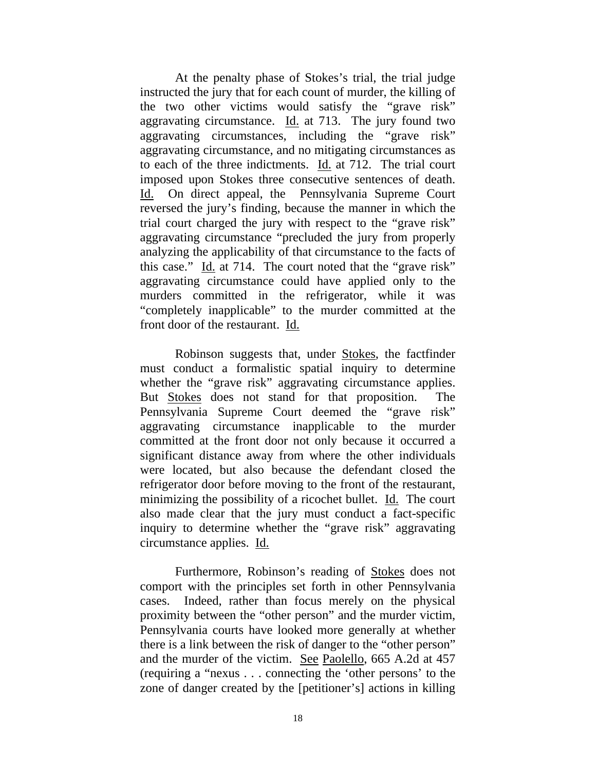At the penalty phase of Stokes's trial, the trial judge instructed the jury that for each count of murder, the killing of the two other victims would satisfy the "grave risk" aggravating circumstance. Id. at 713. The jury found two aggravating circumstances, including the "grave risk" aggravating circumstance, and no mitigating circumstances as to each of the three indictments. Id. at 712. The trial court imposed upon Stokes three consecutive sentences of death. Id. On direct appeal, the Pennsylvania Supreme Court reversed the jury's finding, because the manner in which the trial court charged the jury with respect to the "grave risk" aggravating circumstance "precluded the jury from properly analyzing the applicability of that circumstance to the facts of this case." Id. at 714. The court noted that the "grave risk" aggravating circumstance could have applied only to the murders committed in the refrigerator, while it was "completely inapplicable" to the murder committed at the front door of the restaurant. Id.

 Robinson suggests that, under Stokes, the factfinder must conduct a formalistic spatial inquiry to determine whether the "grave risk" aggravating circumstance applies. But Stokes does not stand for that proposition. The Pennsylvania Supreme Court deemed the "grave risk" aggravating circumstance inapplicable to the murder committed at the front door not only because it occurred a significant distance away from where the other individuals were located, but also because the defendant closed the refrigerator door before moving to the front of the restaurant, minimizing the possibility of a ricochet bullet. Id. The court also made clear that the jury must conduct a fact-specific inquiry to determine whether the "grave risk" aggravating circumstance applies. Id.

 Furthermore, Robinson's reading of Stokes does not comport with the principles set forth in other Pennsylvania cases. Indeed, rather than focus merely on the physical proximity between the "other person" and the murder victim, Pennsylvania courts have looked more generally at whether there is a link between the risk of danger to the "other person" and the murder of the victim. See Paolello, 665 A.2d at 457 (requiring a "nexus . . . connecting the 'other persons' to the zone of danger created by the [petitioner's] actions in killing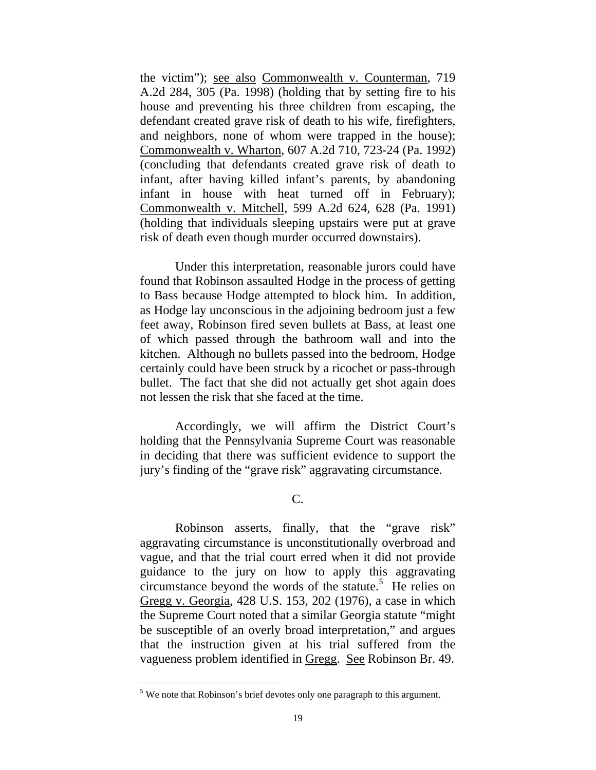the victim"); see also Commonwealth v. Counterman, 719 A.2d 284, 305 (Pa. 1998) (holding that by setting fire to his house and preventing his three children from escaping, the defendant created grave risk of death to his wife, firefighters, and neighbors, none of whom were trapped in the house); Commonwealth v. Wharton, 607 A.2d 710, 723-24 (Pa. 1992) (concluding that defendants created grave risk of death to infant, after having killed infant's parents, by abandoning infant in house with heat turned off in February); Commonwealth v. Mitchell, 599 A.2d 624, 628 (Pa. 1991) (holding that individuals sleeping upstairs were put at grave risk of death even though murder occurred downstairs).

 Under this interpretation, reasonable jurors could have found that Robinson assaulted Hodge in the process of getting to Bass because Hodge attempted to block him. In addition, as Hodge lay unconscious in the adjoining bedroom just a few feet away, Robinson fired seven bullets at Bass, at least one of which passed through the bathroom wall and into the kitchen. Although no bullets passed into the bedroom, Hodge certainly could have been struck by a ricochet or pass-through bullet. The fact that she did not actually get shot again does not lessen the risk that she faced at the time.

 Accordingly, we will affirm the District Court's holding that the Pennsylvania Supreme Court was reasonable in deciding that there was sufficient evidence to support the jury's finding of the "grave risk" aggravating circumstance.

C.

Robinson asserts, finally, that the "grave risk" aggravating circumstance is unconstitutionally overbroad and vague, and that the trial court erred when it did not provide guidance to the jury on how to apply this aggravating circumstance beyond the words of the statute.<sup>5</sup> He relies on Gregg v. Georgia, 428 U.S. 153, 202 (1976), a case in which the Supreme Court noted that a similar Georgia statute "might be susceptible of an overly broad interpretation," and argues that the instruction given at his trial suffered from the vagueness problem identified in Gregg. See Robinson Br. 49.

 $<sup>5</sup>$  We note that Robinson's brief devotes only one paragraph to this argument.</sup>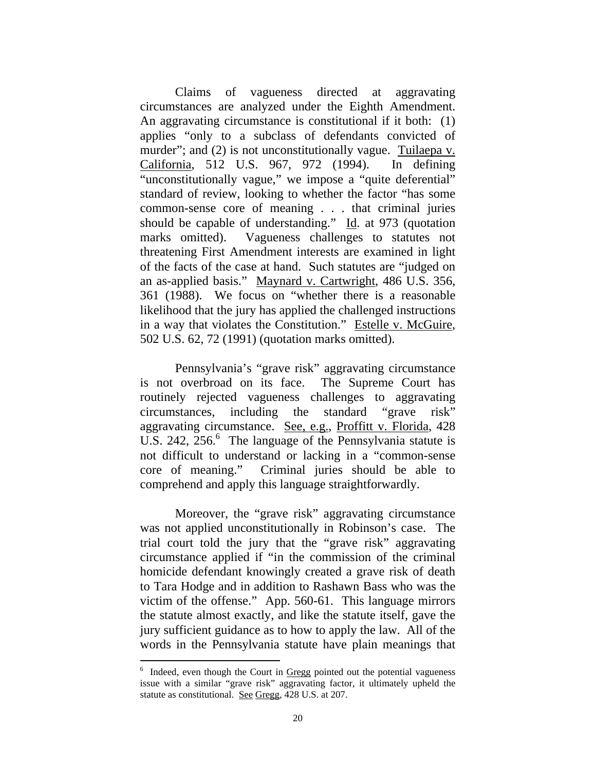Claims of vagueness directed at aggravating circumstances are analyzed under the Eighth Amendment. An aggravating circumstance is constitutional if it both: (1) applies "only to a subclass of defendants convicted of murder"; and (2) is not unconstitutionally vague. Tuilaepa v. California, 512 U.S. 967, 972 (1994). In defining "unconstitutionally vague," we impose a "quite deferential" standard of review, looking to whether the factor "has some common-sense core of meaning . . . that criminal juries should be capable of understanding." Id. at 973 (quotation marks omitted). Vagueness challenges to statutes not threatening First Amendment interests are examined in light of the facts of the case at hand. Such statutes are "judged on an as-applied basis." Maynard v. Cartwright, 486 U.S. 356, 361 (1988). We focus on "whether there is a reasonable likelihood that the jury has applied the challenged instructions in a way that violates the Constitution." Estelle v. McGuire, 502 U.S. 62, 72 (1991) (quotation marks omitted).

Pennsylvania's "grave risk" aggravating circumstance is not overbroad on its face. The Supreme Court has routinely rejected vagueness challenges to aggravating circumstances, including the standard "grave risk" aggravating circumstance. See, e.g., Proffitt v. Florida, 428 U.S. 242, 256.<sup>6</sup> The language of the Pennsylvania statute is not difficult to understand or lacking in a "common-sense core of meaning." Criminal juries should be able to comprehend and apply this language straightforwardly.

Moreover, the "grave risk" aggravating circumstance was not applied unconstitutionally in Robinson's case. The trial court told the jury that the "grave risk" aggravating circumstance applied if "in the commission of the criminal homicide defendant knowingly created a grave risk of death to Tara Hodge and in addition to Rashawn Bass who was the victim of the offense." App. 560-61. This language mirrors the statute almost exactly, and like the statute itself, gave the jury sufficient guidance as to how to apply the law. All of the words in the Pennsylvania statute have plain meanings that

 $\overline{a}$ 

<sup>&</sup>lt;sup>6</sup> Indeed, even though the Court in Gregg pointed out the potential vagueness issue with a similar "grave risk" aggravating factor, it ultimately upheld the statute as constitutional. See Gregg, 428 U.S. at 207.